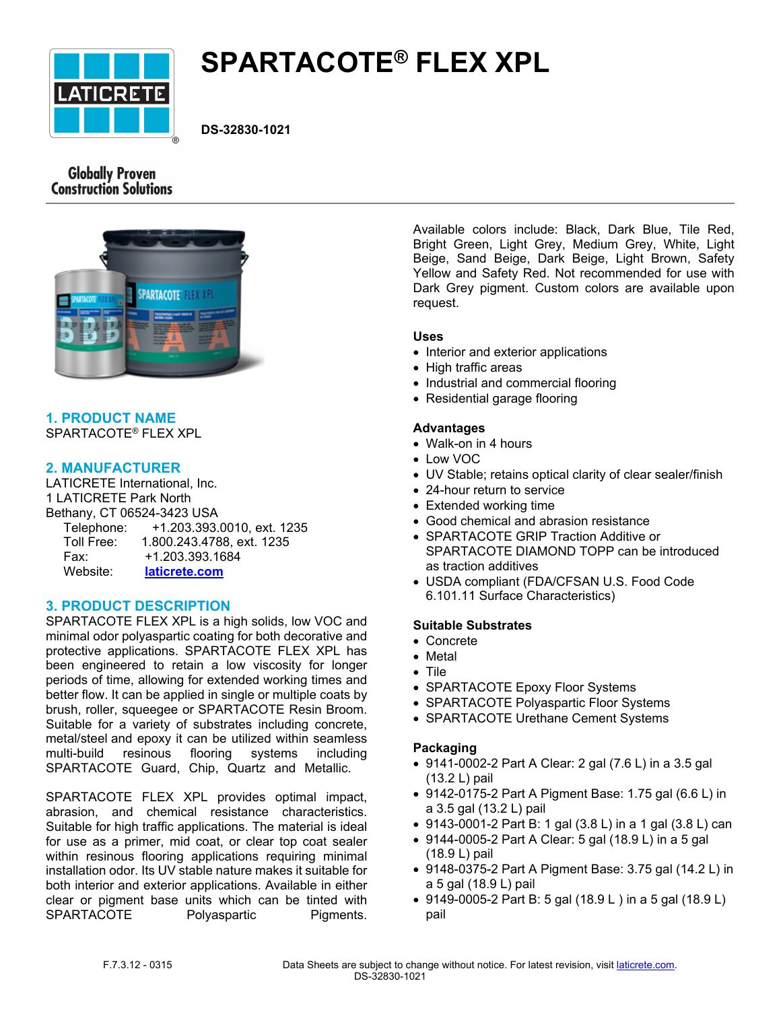

# **SPARTACOTE® FLEX XPL**

**DS-32830-1021**

# **Globally Proven Construction Solutions**



## **1. PRODUCT NAME** SPARTACOTE® FLEX XPL

## **2. MANUFACTURER**

LATICRETE International, Inc. 1 LATICRETE Park North Bethany, CT 06524-3423 USA Telephone: +1.203.393.0010, ext. 1235 Toll Free: 1.800.243.4788, ext. 1235 Fax: +1.203.393.1684 Website: **[laticrete.com](https://laticrete.com/)**

# **3. PRODUCT DESCRIPTION**

SPARTACOTE FLEX XPL is a high solids, low VOC and minimal odor polyaspartic coating for both decorative and protective applications. SPARTACOTE FLEX XPL has been engineered to retain a low viscosity for longer periods of time, allowing for extended working times and better flow. It can be applied in single or multiple coats by brush, roller, squeegee or SPARTACOTE Resin Broom. Suitable for a variety of substrates including concrete, metal/steel and epoxy it can be utilized within seamless multi-build resinous flooring systems including SPARTACOTE Guard, Chip, Quartz and Metallic.

SPARTACOTE FLEX XPL provides optimal impact, abrasion, and chemical resistance characteristics. Suitable for high traffic applications. The material is ideal for use as a primer, mid coat, or clear top coat sealer within resinous flooring applications requiring minimal installation odor. Its UV stable nature makes it suitable for both interior and exterior applications. Available in either clear or pigment base units which can be tinted with SPARTACOTE Polyaspartic Pigments.

Available colors include: Black, Dark Blue, Tile Red, Bright Green, Light Grey, Medium Grey, White, Light Beige, Sand Beige, Dark Beige, Light Brown, Safety Yellow and Safety Red. Not recommended for use with Dark Grey pigment. Custom colors are available upon request.

#### **Uses**

- Interior and exterior applications
- High traffic areas
- Industrial and commercial flooring
- Residential garage flooring

## **Advantages**

- Walk-on in 4 hours
- Low VOC
- UV Stable; retains optical clarity of clear sealer/finish
- 24-hour return to service
- Extended working time
- Good chemical and abrasion resistance
- SPARTACOTE GRIP Traction Additive or SPARTACOTE DIAMOND TOPP can be introduced as traction additives
- USDA compliant (FDA/CFSAN U.S. Food Code 6.101.11 Surface Characteristics)

#### **Suitable Substrates**

- Concrete
- Metal
- Tile
- SPARTACOTE Epoxy Floor Systems
- SPARTACOTE Polyaspartic Floor Systems
- SPARTACOTE Urethane Cement Systems

#### **Packaging**

- 9141-0002-2 Part A Clear: 2 gal (7.6 L) in a 3.5 gal (13.2 L) pail
- 9142-0175-2 Part A Pigment Base: 1.75 gal (6.6 L) in a 3.5 gal (13.2 L) pail
- 9143-0001-2 Part B: 1 gal (3.8 L) in a 1 gal (3.8 L) can
- 9144-0005-2 Part A Clear: 5 gal (18.9 L) in a 5 gal (18.9 L) pail
- 9148-0375-2 Part A Pigment Base: 3.75 gal (14.2 L) in a 5 gal (18.9 L) pail
- 9149-0005-2 Part B: 5 gal (18.9 L ) in a 5 gal (18.9 L) pail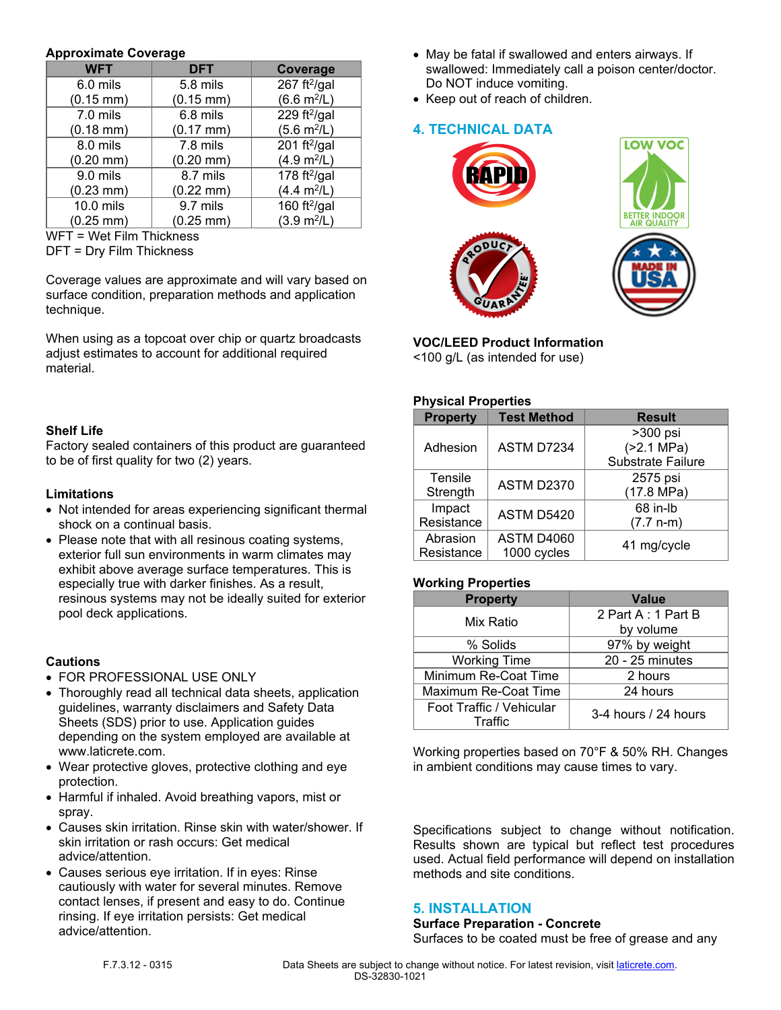#### **Approximate Coverage**

| <b>WFT</b>            | <b>DFT</b>            | Coverage                     |
|-----------------------|-----------------------|------------------------------|
| 6.0 mils              | 5.8 mils              | 267 ft $^{2}/$ gal           |
| $(0.15 \, \text{mm})$ | $(0.15 \, \text{mm})$ | $(6.6 \text{ m}^2/\text{L})$ |
| 7.0 mils              | 6.8 mils              | 229 $ft^{2}/gal$             |
| $(0.18$ mm $)$        | $(0.17 \, \text{mm})$ | $(5.6 \text{ m}^2/\text{L})$ |
| 8.0 mils              | 7.8 mils              | 201 ft $^{2}/$ gal           |
| $(0.20$ mm $)$        | $(0.20 \text{ mm})$   | (4.9 m <sup>2</sup> /L)      |
| 9.0 mils              | 8.7 mils              | 178 ft $^{2}/$ gal           |
| $(0.23 \text{ mm})$   | $(0.22 \text{ mm})$   | $(4.4 \text{ m}^2/\text{L})$ |
| 10.0 mils             | 9.7 mils              | 160 ft $^{2}$ /gal           |
| $(0.25 \, \text{mm})$ | $(0.25 \text{ mm})$   | $(3.9 \text{ m}^2/\text{L})$ |

WFT = Wet Film Thickness

DFT = Dry Film Thickness

Coverage values are approximate and will vary based on surface condition, preparation methods and application technique.

When using as a topcoat over chip or quartz broadcasts adjust estimates to account for additional required material.

#### **Shelf Life**

Factory sealed containers of this product are guaranteed to be of first quality for two (2) years.

#### **Limitations**

- Not intended for areas experiencing significant thermal shock on a continual basis.
- Please note that with all resinous coating systems, exterior full sun environments in warm climates may exhibit above average surface temperatures. This is especially true with darker finishes. As a result, resinous systems may not be ideally suited for exterior pool deck applications.

#### **Cautions**

- FOR PROFESSIONAL USE ONLY
- Thoroughly read all technical data sheets, application guidelines, warranty disclaimers and Safety Data Sheets (SDS) prior to use. Application guides depending on the system employed are available at www.laticrete.com.
- Wear protective gloves, protective clothing and eye protection.
- Harmful if inhaled. Avoid breathing vapors, mist or spray.
- Causes skin irritation. Rinse skin with water/shower. If skin irritation or rash occurs: Get medical advice/attention.
- Causes serious eye irritation. If in eyes: Rinse cautiously with water for several minutes. Remove contact lenses, if present and easy to do. Continue rinsing. If eye irritation persists: Get medical advice/attention.
- May be fatal if swallowed and enters airways. If swallowed: Immediately call a poison center/doctor. Do NOT induce vomiting.
- Keep out of reach of children.

# **4. TECHNICAL DATA**



## **VOC/LEED Product Information**

<100 g/L (as intended for use)

#### **Physical Properties**

| <b>Property</b> | <b>Test Method</b> | <b>Result</b>            |
|-----------------|--------------------|--------------------------|
| Adhesion        | ASTM D7234         | >300 psi                 |
|                 |                    | ( > 2.1 MPa)             |
|                 |                    | <b>Substrate Failure</b> |
| Tensile         | <b>ASTM D2370</b>  | 2575 psi                 |
| Strength        |                    | (17.8 MPa)               |
| Impact          | ASTM D5420         | 68 in-lb                 |
| Resistance      |                    | $(7.7 n-m)$              |
| Abrasion        | ASTM D4060         | 41 mg/cycle              |
| Resistance      | 1000 cycles        |                          |

## **Working Properties**

| <b>Property</b>          | Value                |
|--------------------------|----------------------|
| Mix Ratio                | 2 Part A: 1 Part B   |
|                          | by volume            |
| % Solids                 | 97% by weight        |
| <b>Working Time</b>      | 20 - 25 minutes      |
| Minimum Re-Coat Time     | 2 hours              |
| Maximum Re-Coat Time     | 24 hours             |
| Foot Traffic / Vehicular | 3-4 hours / 24 hours |
| Traffic                  |                      |

Working properties based on 70°F & 50% RH. Changes in ambient conditions may cause times to vary.

Specifications subject to change without notification. Results shown are typical but reflect test procedures used. Actual field performance will depend on installation methods and site conditions.

## **5. INSTALLATION**

#### **Surface Preparation - Concrete** Surfaces to be coated must be free of grease and any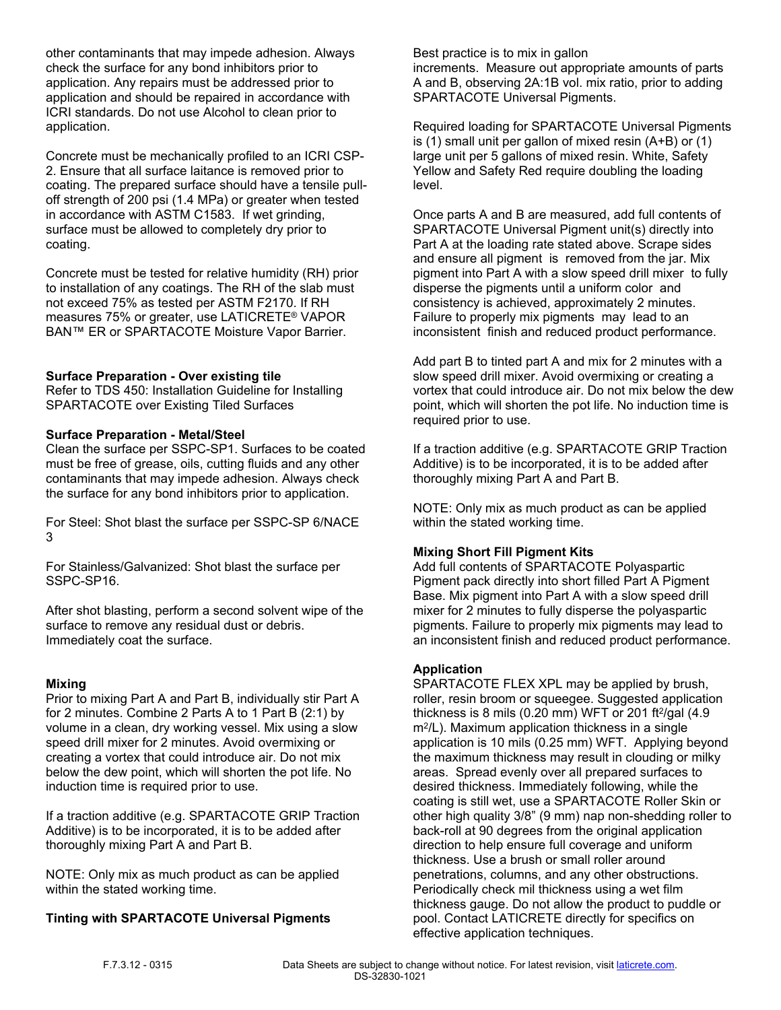other contaminants that may impede adhesion. Always check the surface for any bond inhibitors prior to application. Any repairs must be addressed prior to application and should be repaired in accordance with ICRI standards. Do not use Alcohol to clean prior to application.

Concrete must be mechanically profiled to an ICRI CSP-2. Ensure that all surface laitance is removed prior to coating. The prepared surface should have a tensile pulloff strength of 200 psi (1.4 MPa) or greater when tested in accordance with ASTM C1583. If wet grinding, surface must be allowed to completely dry prior to coating.

Concrete must be tested for relative humidity (RH) prior to installation of any coatings. The RH of the slab must not exceed 75% as tested per ASTM F2170. If RH measures 75% or greater, use LATICRETE® VAPOR BAN™ ER or SPARTACOTE Moisture Vapor Barrier.

#### **Surface Preparation - Over existing tile**

Refer to TDS 450: Installation Guideline for Installing SPARTACOTE over Existing Tiled Surfaces

#### **Surface Preparation - Metal/Steel**

Clean the surface per SSPC-SP1. Surfaces to be coated must be free of grease, oils, cutting fluids and any other contaminants that may impede adhesion. Always check the surface for any bond inhibitors prior to application.

For Steel: Shot blast the surface per SSPC-SP 6/NACE 3

For Stainless/Galvanized: Shot blast the surface per SSPC-SP16.

After shot blasting, perform a second solvent wipe of the surface to remove any residual dust or debris. Immediately coat the surface.

#### **Mixing**

Prior to mixing Part A and Part B, individually stir Part A for 2 minutes. Combine 2 Parts A to 1 Part B (2:1) by volume in a clean, dry working vessel. Mix using a slow speed drill mixer for 2 minutes. Avoid overmixing or creating a vortex that could introduce air. Do not mix below the dew point, which will shorten the pot life. No induction time is required prior to use.

If a traction additive (e.g. SPARTACOTE GRIP Traction Additive) is to be incorporated, it is to be added after thoroughly mixing Part A and Part B.

NOTE: Only mix as much product as can be applied within the stated working time.

# **Tinting with SPARTACOTE Universal Pigments**

Best practice is to mix in gallon increments. Measure out appropriate amounts of parts A and B, observing 2A:1B vol. mix ratio, prior to adding SPARTACOTE Universal Pigments.

Required loading for SPARTACOTE Universal Pigments is (1) small unit per gallon of mixed resin (A+B) or (1) large unit per 5 gallons of mixed resin. White, Safety Yellow and Safety Red require doubling the loading level.

Once parts A and B are measured, add full contents of SPARTACOTE Universal Pigment unit(s) directly into Part A at the loading rate stated above. Scrape sides and ensure all pigment is removed from the jar. Mix pigment into Part A with a slow speed drill mixer to fully disperse the pigments until a uniform color and consistency is achieved, approximately 2 minutes. Failure to properly mix pigments may lead to an inconsistent finish and reduced product performance.

Add part B to tinted part A and mix for 2 minutes with a slow speed drill mixer. Avoid overmixing or creating a vortex that could introduce air. Do not mix below the dew point, which will shorten the pot life. No induction time is required prior to use.

If a traction additive (e.g. SPARTACOTE GRIP Traction Additive) is to be incorporated, it is to be added after thoroughly mixing Part A and Part B.

NOTE: Only mix as much product as can be applied within the stated working time.

#### **Mixing Short Fill Pigment Kits**

Add full contents of SPARTACOTE Polyaspartic Pigment pack directly into short filled Part A Pigment Base. Mix pigment into Part A with a slow speed drill mixer for 2 minutes to fully disperse the polyaspartic pigments. Failure to properly mix pigments may lead to an inconsistent finish and reduced product performance.

#### **Application**

SPARTACOTE FLEX XPL may be applied by brush, roller, resin broom or squeegee. Suggested application thickness is 8 mils (0.20 mm) WFT or 201 ft $\frac{2}{9}$ al (4.9 m<sup>2</sup> /L). Maximum application thickness in a single application is 10 mils (0.25 mm) WFT. Applying beyond the maximum thickness may result in clouding or milky areas. Spread evenly over all prepared surfaces to desired thickness. Immediately following, while the coating is still wet, use a SPARTACOTE Roller Skin or other high quality 3/8" (9 mm) nap non-shedding roller to back-roll at 90 degrees from the original application direction to help ensure full coverage and uniform thickness. Use a brush or small roller around penetrations, columns, and any other obstructions. Periodically check mil thickness using a wet film thickness gauge. Do not allow the product to puddle or pool. Contact LATICRETE directly for specifics on effective application techniques.